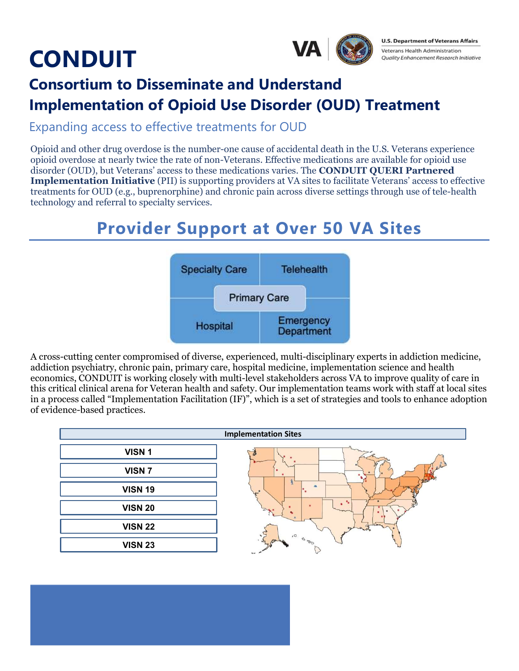# **CONDUIT**



**U.S. Department of Veterans Affairs Veterans Health Administration Quality Enhancement Research Initiative** 

### Consortium to Disseminate and Understand Implementation of Opioid Use Disorder (OUD) Treatment

Expanding access to effective treatments for OUD

Opioid and other drug overdose is the number-one cause of accidental death in the U.S. Veterans experience opioid overdose at nearly twice the rate of non-Veterans. Effective medications are available for opioid use disorder (OUD), but Veterans' access to these medications varies. The CONDUIT QUERI Partnered **Implementation Initiative** (PII) is supporting providers at VA sites to facilitate Veterans' access to effective treatments for OUD (e.g., buprenorphine) and chronic pain across diverse settings through use of tele-health technology and referral to specialty services.

### Provider Support at Over 50 VA Sites



A cross-cutting center compromised of diverse, experienced, multi-disciplinary experts in addiction medicine, addiction psychiatry, chronic pain, primary care, hospital medicine, implementation science and health economics, CONDUIT is working closely with multi-level stakeholders across VA to improve quality of care in this critical clinical arena for Veteran health and safety. Our implementation teams work with staff at local sites in a process called "Implementation Facilitation (IF)", which is a set of strategies and tools to enhance adoption of evidence-based practices.

| <b>Implementation Sites</b> |                              |
|-----------------------------|------------------------------|
| VISN <sub>1</sub>           |                              |
| VISN <sub>7</sub>           |                              |
| <b>VISN 19</b>              | <b>BAP</b>                   |
| <b>VISN 20</b>              | ۰.<br>۹,                     |
| <b>VISN 22</b>              | حملانا<br>$\cdot$<br>$\circ$ |
| <b>VISN 23</b>              | <b>DE D</b><br>$x_4$         |